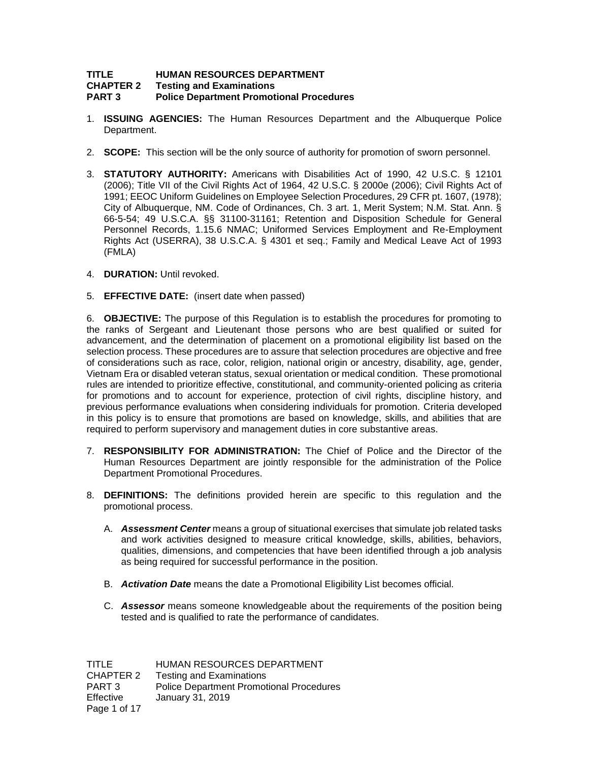# **TITLE HUMAN RESOURCES DEPARTMENT**

**CHAPTER 2 Testing and Examinations**

## **PART 3 Police Department Promotional Procedures**

- 1. **ISSUING AGENCIES:** The Human Resources Department and the Albuquerque Police Department.
- 2. **SCOPE:** This section will be the only source of authority for promotion of sworn personnel.
- 3. **STATUTORY AUTHORITY:** Americans with Disabilities Act of 1990, 42 U.S.C. § 12101 (2006); Title VII of the Civil Rights Act of 1964, 42 U.S.C. § 2000e (2006); Civil Rights Act of 1991; EEOC Uniform Guidelines on Employee Selection Procedures, 29 CFR pt. 1607, (1978); City of Albuquerque, NM. Code of Ordinances, Ch. 3 art. 1, Merit System; N.M. Stat. Ann. § 66-5-54; 49 U.S.C.A. §§ 31100-31161; Retention and Disposition Schedule for General Personnel Records, 1.15.6 NMAC; Uniformed Services Employment and Re-Employment Rights Act (USERRA), 38 U.S.C.A. § 4301 et seq.; Family and Medical Leave Act of 1993 (FMLA)
- 4. **DURATION:** Until revoked.
- 5. **EFFECTIVE DATE:** (insert date when passed)

6. **OBJECTIVE:** The purpose of this Regulation is to establish the procedures for promoting to the ranks of Sergeant and Lieutenant those persons who are best qualified or suited for advancement, and the determination of placement on a promotional eligibility list based on the selection process. These procedures are to assure that selection procedures are objective and free of considerations such as race, color, religion, national origin or ancestry, disability, age, gender, Vietnam Era or disabled veteran status, sexual orientation or medical condition. These promotional rules are intended to prioritize effective, constitutional, and community-oriented policing as criteria for promotions and to account for experience, protection of civil rights, discipline history, and previous performance evaluations when considering individuals for promotion. Criteria developed in this policy is to ensure that promotions are based on knowledge, skills, and abilities that are required to perform supervisory and management duties in core substantive areas.

- 7. **RESPONSIBILITY FOR ADMINISTRATION:** The Chief of Police and the Director of the Human Resources Department are jointly responsible for the administration of the Police Department Promotional Procedures.
- 8. **DEFINITIONS:** The definitions provided herein are specific to this regulation and the promotional process.
	- A. *Assessment Center* means a group of situational exercises that simulate job related tasks and work activities designed to measure critical knowledge, skills, abilities, behaviors, qualities, dimensions, and competencies that have been identified through a job analysis as being required for successful performance in the position.
	- B. *Activation Date* means the date a Promotional Eligibility List becomes official.
	- C. *Assessor* means someone knowledgeable about the requirements of the position being tested and is qualified to rate the performance of candidates.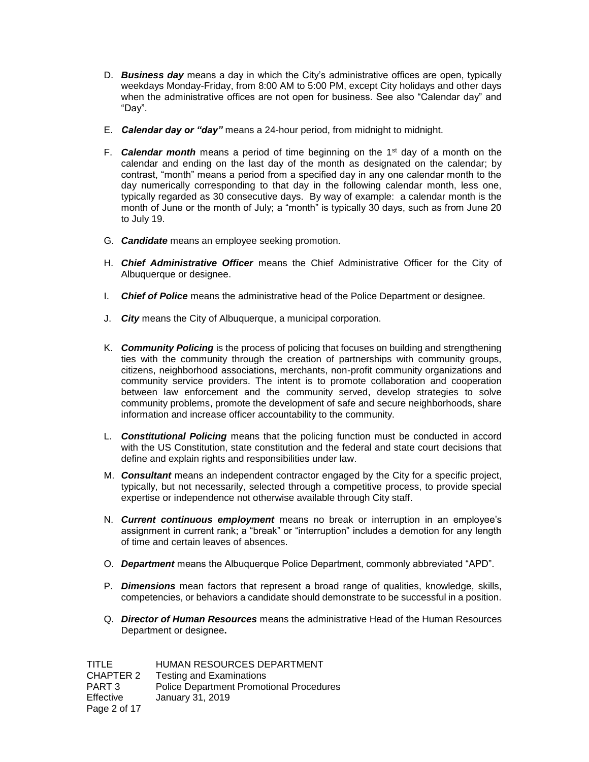- D. *Business day* means a day in which the City's administrative offices are open, typically weekdays Monday-Friday, from 8:00 AM to 5:00 PM, except City holidays and other days when the administrative offices are not open for business. See also "Calendar day" and "Day".
- E. *Calendar day or "day"* means a 24-hour period, from midnight to midnight.
- F. *Calendar month* means a period of time beginning on the 1st day of a month on the calendar and ending on the last day of the month as designated on the calendar; by contrast, "month" means a period from a specified day in any one calendar month to the day numerically corresponding to that day in the following calendar month, less one, typically regarded as 30 consecutive days. By way of example: a calendar month is the month of June or the month of July; a "month" is typically 30 days, such as from June 20 to July 19.
- G. *Candidate* means an employee seeking promotion.
- H. *Chief Administrative Officer* means the Chief Administrative Officer for the City of Albuquerque or designee.
- I. *Chief of Police* means the administrative head of the Police Department or designee.
- J. *City* means the City of Albuquerque, a municipal corporation.
- K. *Community Policing* is the process of policing that focuses on building and strengthening ties with the community through the creation of partnerships with community groups, citizens, neighborhood associations, merchants, non-profit community organizations and community service providers. The intent is to promote collaboration and cooperation between law enforcement and the community served, develop strategies to solve community problems, promote the development of safe and secure neighborhoods, share information and increase officer accountability to the community.
- L. *Constitutional Policing* means that the policing function must be conducted in accord with the US Constitution, state constitution and the federal and state court decisions that define and explain rights and responsibilities under law.
- M. *Consultant* means an independent contractor engaged by the City for a specific project, typically, but not necessarily, selected through a competitive process, to provide special expertise or independence not otherwise available through City staff.
- N. *Current continuous employment* means no break or interruption in an employee's assignment in current rank; a "break" or "interruption" includes a demotion for any length of time and certain leaves of absences.
- O. *Department* means the Albuquerque Police Department, commonly abbreviated "APD".
- P. *Dimensions* mean factors that represent a broad range of qualities, knowledge, skills, competencies, or behaviors a candidate should demonstrate to be successful in a position.
- Q. *Director of Human Resources* means the administrative Head of the Human Resources Department or designee**.**

| TITLE            | HUMAN RESOURCES DEPARTMENT                      |
|------------------|-------------------------------------------------|
| CHAPTER 2        | <b>Testing and Examinations</b>                 |
| PART 3           | <b>Police Department Promotional Procedures</b> |
| <b>Effective</b> | January 31, 2019                                |
| Page 2 of 17     |                                                 |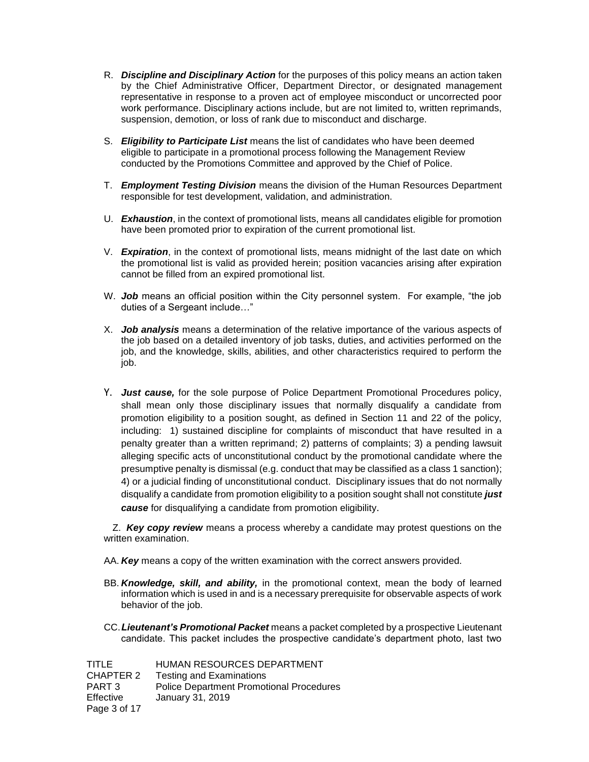- R. *Discipline and Disciplinary Action* for the purposes of this policy means an action taken by the Chief Administrative Officer, Department Director, or designated management representative in response to a proven act of employee misconduct or uncorrected poor work performance. Disciplinary actions include, but are not limited to, written reprimands, suspension, demotion, or loss of rank due to misconduct and discharge.
- S. *Eligibility to Participate List* means the list of candidates who have been deemed eligible to participate in a promotional process following the Management Review conducted by the Promotions Committee and approved by the Chief of Police.
- T. *Employment Testing Division* means the division of the Human Resources Department responsible for test development, validation, and administration.
- U. *Exhaustion*, in the context of promotional lists, means all candidates eligible for promotion have been promoted prior to expiration of the current promotional list.
- V. *Expiration*, in the context of promotional lists, means midnight of the last date on which the promotional list is valid as provided herein; position vacancies arising after expiration cannot be filled from an expired promotional list.
- W. *Job* means an official position within the City personnel system. For example, "the job duties of a Sergeant include…"
- X. *Job analysis* means a determination of the relative importance of the various aspects of the job based on a detailed inventory of job tasks, duties, and activities performed on the job, and the knowledge, skills, abilities, and other characteristics required to perform the job.
- Y. *Just cause,* for the sole purpose of Police Department Promotional Procedures policy, shall mean only those disciplinary issues that normally disqualify a candidate from promotion eligibility to a position sought, as defined in Section 11 and 22 of the policy, including: 1) sustained discipline for complaints of misconduct that have resulted in a penalty greater than a written reprimand; 2) patterns of complaints; 3) a pending lawsuit alleging specific acts of unconstitutional conduct by the promotional candidate where the presumptive penalty is dismissal (e.g. conduct that may be classified as a class 1 sanction); 4) or a judicial finding of unconstitutional conduct. Disciplinary issues that do not normally disqualify a candidate from promotion eligibility to a position sought shall not constitute *just cause* for disqualifying a candidate from promotion eligibility.

Z. *Key copy review* means a process whereby a candidate may protest questions on the written examination.

- AA. *Key* means a copy of the written examination with the correct answers provided.
- BB. *Knowledge, skill, and ability,* in the promotional context, mean the body of learned information which is used in and is a necessary prerequisite for observable aspects of work behavior of the job.
- CC.*Lieutenant's Promotional Packet* means a packet completed by a prospective Lieutenant candidate. This packet includes the prospective candidate's department photo, last two

| TITLE            | HUMAN RESOURCES DEPARTMENT                      |
|------------------|-------------------------------------------------|
| CHAPTER 2        | <b>Testing and Examinations</b>                 |
| PART 3           | <b>Police Department Promotional Procedures</b> |
| <b>Effective</b> | January 31, 2019                                |
| Page 3 of 17     |                                                 |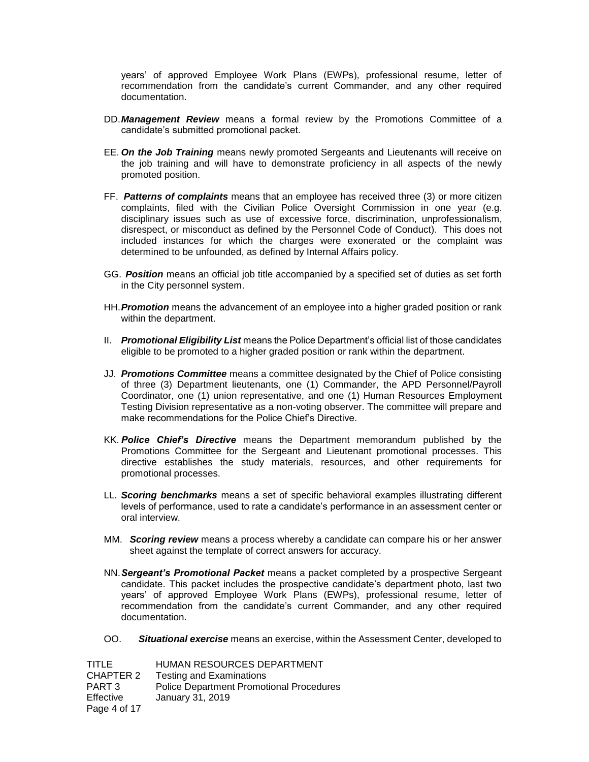years' of approved Employee Work Plans (EWPs), professional resume, letter of recommendation from the candidate's current Commander, and any other required documentation.

- DD.*Management Review* means a formal review by the Promotions Committee of a candidate's submitted promotional packet.
- EE. *On the Job Training* means newly promoted Sergeants and Lieutenants will receive on the job training and will have to demonstrate proficiency in all aspects of the newly promoted position.
- FF. *Patterns of complaints* means that an employee has received three (3) or more citizen complaints, filed with the Civilian Police Oversight Commission in one year (e.g. disciplinary issues such as use of excessive force, discrimination, unprofessionalism, disrespect, or misconduct as defined by the Personnel Code of Conduct). This does not included instances for which the charges were exonerated or the complaint was determined to be unfounded, as defined by Internal Affairs policy.
- GG. *Position* means an official job title accompanied by a specified set of duties as set forth in the City personnel system.
- HH.*Promotion* means the advancement of an employee into a higher graded position or rank within the department.
- II. *Promotional Eligibility List* means the Police Department's official list of those candidates eligible to be promoted to a higher graded position or rank within the department.
- JJ. *Promotions Committee* means a committee designated by the Chief of Police consisting of three (3) Department lieutenants, one (1) Commander, the APD Personnel/Payroll Coordinator, one (1) union representative, and one (1) Human Resources Employment Testing Division representative as a non-voting observer. The committee will prepare and make recommendations for the Police Chief's Directive.
- KK. *Police Chief's Directive* means the Department memorandum published by the Promotions Committee for the Sergeant and Lieutenant promotional processes. This directive establishes the study materials, resources, and other requirements for promotional processes.
- LL. *Scoring benchmarks* means a set of specific behavioral examples illustrating different levels of performance, used to rate a candidate's performance in an assessment center or oral interview.
- MM. *Scoring review* means a process whereby a candidate can compare his or her answer sheet against the template of correct answers for accuracy.
- NN.*Sergeant's Promotional Packet* means a packet completed by a prospective Sergeant candidate. This packet includes the prospective candidate's department photo, last two years' of approved Employee Work Plans (EWPs), professional resume, letter of recommendation from the candidate's current Commander, and any other required documentation.
- OO. *Situational exercise* means an exercise, within the Assessment Center, developed to

TITLE HUMAN RESOURCES DEPARTMENT CHAPTER 2 Testing and Examinations PART 3 Police Department Promotional Procedures Effective January 31, 2019 Page 4 of 17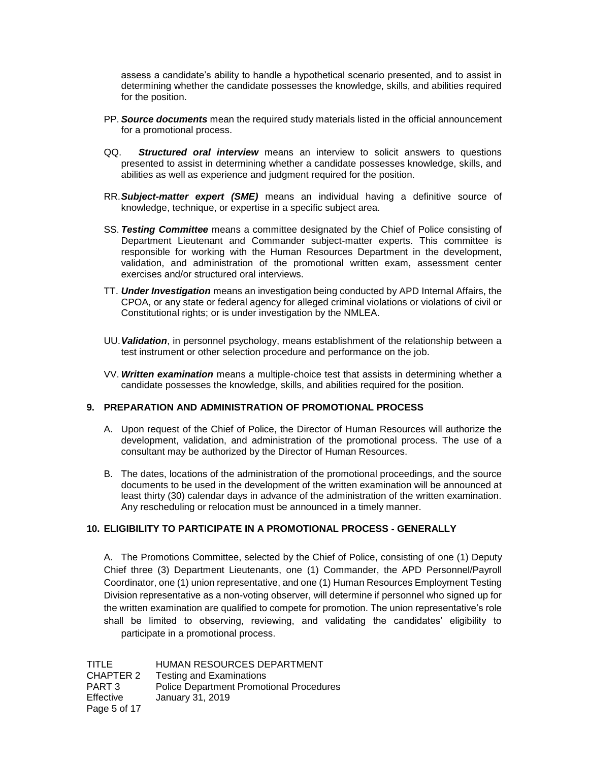assess a candidate's ability to handle a hypothetical scenario presented, and to assist in determining whether the candidate possesses the knowledge, skills, and abilities required for the position.

- PP. *Source documents* mean the required study materials listed in the official announcement for a promotional process.
- QQ. *Structured oral interview* means an interview to solicit answers to questions presented to assist in determining whether a candidate possesses knowledge, skills, and abilities as well as experience and judgment required for the position.
- RR.*Subject-matter expert (SME)* means an individual having a definitive source of knowledge, technique, or expertise in a specific subject area.
- SS. *Testing Committee* means a committee designated by the Chief of Police consisting of Department Lieutenant and Commander subject-matter experts. This committee is responsible for working with the Human Resources Department in the development, validation, and administration of the promotional written exam, assessment center exercises and/or structured oral interviews.
- TT. *Under Investigation* means an investigation being conducted by APD Internal Affairs, the CPOA, or any state or federal agency for alleged criminal violations or violations of civil or Constitutional rights; or is under investigation by the NMLEA.
- UU.*Validation*, in personnel psychology, means establishment of the relationship between a test instrument or other selection procedure and performance on the job.
- VV. *Written examination* means a multiple-choice test that assists in determining whether a candidate possesses the knowledge, skills, and abilities required for the position.

### **9. PREPARATION AND ADMINISTRATION OF PROMOTIONAL PROCESS**

- A. Upon request of the Chief of Police, the Director of Human Resources will authorize the development, validation, and administration of the promotional process. The use of a consultant may be authorized by the Director of Human Resources.
- B. The dates, locations of the administration of the promotional proceedings, and the source documents to be used in the development of the written examination will be announced at least thirty (30) calendar days in advance of the administration of the written examination. Any rescheduling or relocation must be announced in a timely manner.

### **10. ELIGIBILITY TO PARTICIPATE IN A PROMOTIONAL PROCESS - GENERALLY**

A. The Promotions Committee, selected by the Chief of Police, consisting of one (1) Deputy Chief three (3) Department Lieutenants, one (1) Commander, the APD Personnel/Payroll Coordinator, one (1) union representative, and one (1) Human Resources Employment Testing Division representative as a non-voting observer, will determine if personnel who signed up for the written examination are qualified to compete for promotion. The union representative's role shall be limited to observing, reviewing, and validating the candidates' eligibility to participate in a promotional process.

| TITLE            | HUMAN RESOURCES DEPARTMENT                      |
|------------------|-------------------------------------------------|
| CHAPTER 2        | <b>Testing and Examinations</b>                 |
| PART 3           | <b>Police Department Promotional Procedures</b> |
| <b>Effective</b> | January 31, 2019                                |
| Page 5 of 17     |                                                 |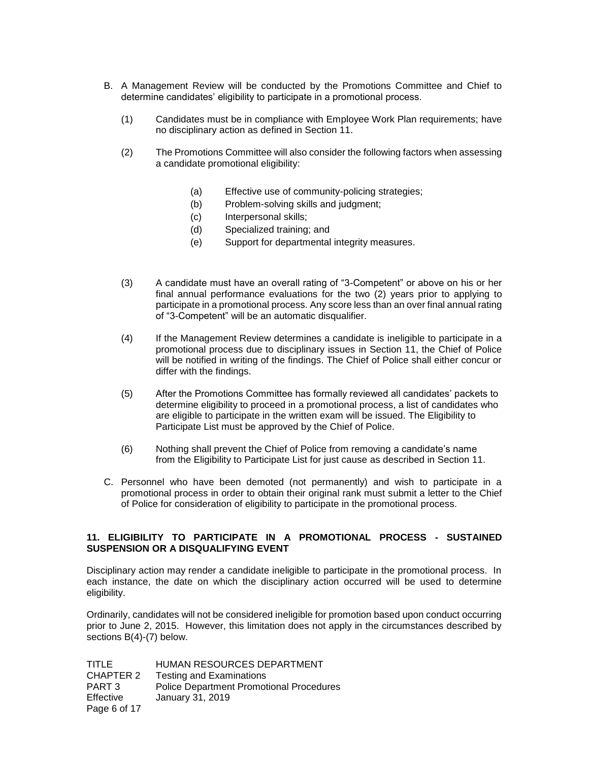- B. A Management Review will be conducted by the Promotions Committee and Chief to determine candidates' eligibility to participate in a promotional process.
	- (1) Candidates must be in compliance with Employee Work Plan requirements; have no disciplinary action as defined in Section 11.
	- (2) The Promotions Committee will also consider the following factors when assessing a candidate promotional eligibility:
		- (a) Effective use of community-policing strategies;
		- (b) Problem-solving skills and judgment;
		- (c) Interpersonal skills;
		- (d) Specialized training; and
		- (e) Support for departmental integrity measures.
	- (3) A candidate must have an overall rating of "3-Competent" or above on his or her final annual performance evaluations for the two (2) years prior to applying to participate in a promotional process. Any score less than an over final annual rating of "3-Competent" will be an automatic disqualifier.
	- (4) If the Management Review determines a candidate is ineligible to participate in a promotional process due to disciplinary issues in Section 11, the Chief of Police will be notified in writing of the findings. The Chief of Police shall either concur or differ with the findings.
	- (5) After the Promotions Committee has formally reviewed all candidates' packets to determine eligibility to proceed in a promotional process, a list of candidates who are eligible to participate in the written exam will be issued. The Eligibility to Participate List must be approved by the Chief of Police.
	- (6) Nothing shall prevent the Chief of Police from removing a candidate's name from the Eligibility to Participate List for just cause as described in Section 11.
- C. Personnel who have been demoted (not permanently) and wish to participate in a promotional process in order to obtain their original rank must submit a letter to the Chief of Police for consideration of eligibility to participate in the promotional process.

# **11. ELIGIBILITY TO PARTICIPATE IN A PROMOTIONAL PROCESS - SUSTAINED SUSPENSION OR A DISQUALIFYING EVENT**

Disciplinary action may render a candidate ineligible to participate in the promotional process. In each instance, the date on which the disciplinary action occurred will be used to determine eligibility.

Ordinarily, candidates will not be considered ineligible for promotion based upon conduct occurring prior to June 2, 2015. However, this limitation does not apply in the circumstances described by sections B(4)-(7) below.

| TITLE        | <b>HUMAN RESOURCES DEPARTMENT</b>               |
|--------------|-------------------------------------------------|
| CHAPTER 2    | <b>Testing and Examinations</b>                 |
| PART 3       | <b>Police Department Promotional Procedures</b> |
| Effective    | January 31, 2019                                |
| Page 6 of 17 |                                                 |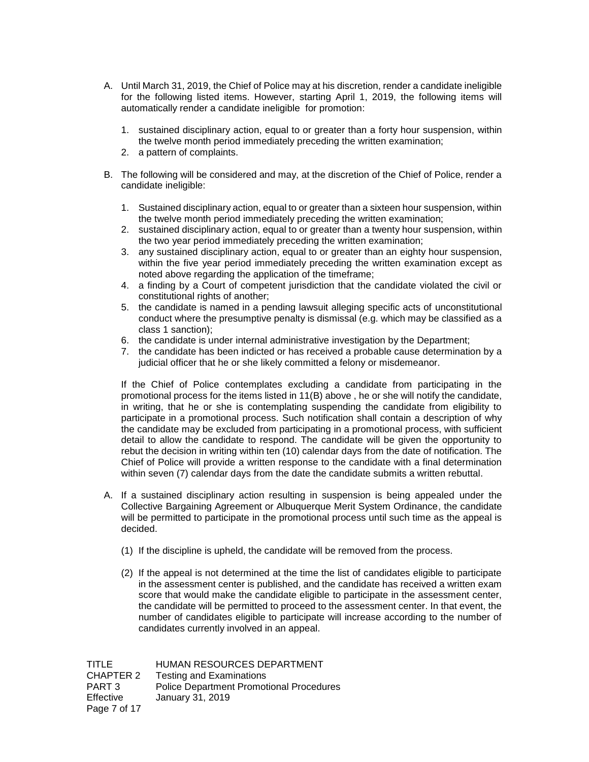- A. Until March 31, 2019, the Chief of Police may at his discretion, render a candidate ineligible for the following listed items. However, starting April 1, 2019, the following items will automatically render a candidate ineligible for promotion:
	- 1. sustained disciplinary action, equal to or greater than a forty hour suspension, within the twelve month period immediately preceding the written examination;
	- 2. a pattern of complaints.
- B. The following will be considered and may, at the discretion of the Chief of Police, render a candidate ineligible:
	- 1. Sustained disciplinary action, equal to or greater than a sixteen hour suspension, within the twelve month period immediately preceding the written examination;
	- 2. sustained disciplinary action, equal to or greater than a twenty hour suspension, within the two year period immediately preceding the written examination;
	- 3. any sustained disciplinary action, equal to or greater than an eighty hour suspension, within the five year period immediately preceding the written examination except as noted above regarding the application of the timeframe;
	- 4. a finding by a Court of competent jurisdiction that the candidate violated the civil or constitutional rights of another;
	- 5. the candidate is named in a pending lawsuit alleging specific acts of unconstitutional conduct where the presumptive penalty is dismissal (e.g. which may be classified as a class 1 sanction);
	- 6. the candidate is under internal administrative investigation by the Department;
	- 7. the candidate has been indicted or has received a probable cause determination by a judicial officer that he or she likely committed a felony or misdemeanor.

If the Chief of Police contemplates excluding a candidate from participating in the promotional process for the items listed in 11(B) above , he or she will notify the candidate, in writing, that he or she is contemplating suspending the candidate from eligibility to participate in a promotional process. Such notification shall contain a description of why the candidate may be excluded from participating in a promotional process, with sufficient detail to allow the candidate to respond. The candidate will be given the opportunity to rebut the decision in writing within ten (10) calendar days from the date of notification. The Chief of Police will provide a written response to the candidate with a final determination within seven (7) calendar days from the date the candidate submits a written rebuttal.

- A. If a sustained disciplinary action resulting in suspension is being appealed under the Collective Bargaining Agreement or Albuquerque Merit System Ordinance, the candidate will be permitted to participate in the promotional process until such time as the appeal is decided.
	- (1) If the discipline is upheld, the candidate will be removed from the process.
	- (2) If the appeal is not determined at the time the list of candidates eligible to participate in the assessment center is published, and the candidate has received a written exam score that would make the candidate eligible to participate in the assessment center, the candidate will be permitted to proceed to the assessment center. In that event, the number of candidates eligible to participate will increase according to the number of candidates currently involved in an appeal.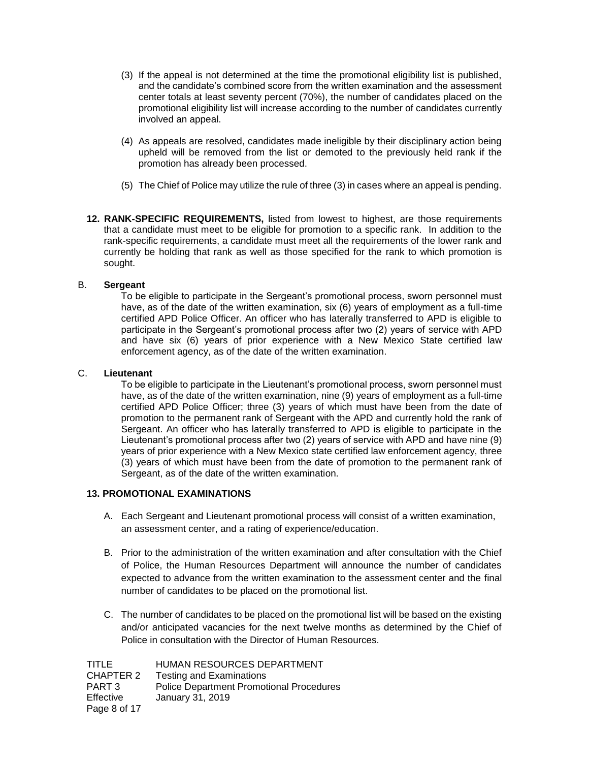- (3) If the appeal is not determined at the time the promotional eligibility list is published, and the candidate's combined score from the written examination and the assessment center totals at least seventy percent (70%), the number of candidates placed on the promotional eligibility list will increase according to the number of candidates currently involved an appeal.
- (4) As appeals are resolved, candidates made ineligible by their disciplinary action being upheld will be removed from the list or demoted to the previously held rank if the promotion has already been processed.
- (5) The Chief of Police may utilize the rule of three (3) in cases where an appeal is pending.
- **12. RANK-SPECIFIC REQUIREMENTS,** listed from lowest to highest, are those requirements that a candidate must meet to be eligible for promotion to a specific rank. In addition to the rank-specific requirements, a candidate must meet all the requirements of the lower rank and currently be holding that rank as well as those specified for the rank to which promotion is sought.

### B. **Sergeant**

To be eligible to participate in the Sergeant's promotional process, sworn personnel must have, as of the date of the written examination, six (6) years of employment as a full-time certified APD Police Officer. An officer who has laterally transferred to APD is eligible to participate in the Sergeant's promotional process after two (2) years of service with APD and have six (6) years of prior experience with a New Mexico State certified law enforcement agency, as of the date of the written examination.

### C. **Lieutenant**

To be eligible to participate in the Lieutenant's promotional process, sworn personnel must have, as of the date of the written examination, nine (9) years of employment as a full-time certified APD Police Officer; three (3) years of which must have been from the date of promotion to the permanent rank of Sergeant with the APD and currently hold the rank of Sergeant. An officer who has laterally transferred to APD is eligible to participate in the Lieutenant's promotional process after two (2) years of service with APD and have nine (9) years of prior experience with a New Mexico state certified law enforcement agency, three (3) years of which must have been from the date of promotion to the permanent rank of Sergeant, as of the date of the written examination.

### **13. PROMOTIONAL EXAMINATIONS**

- A. Each Sergeant and Lieutenant promotional process will consist of a written examination, an assessment center, and a rating of experience/education.
- B. Prior to the administration of the written examination and after consultation with the Chief of Police, the Human Resources Department will announce the number of candidates expected to advance from the written examination to the assessment center and the final number of candidates to be placed on the promotional list.
- C. The number of candidates to be placed on the promotional list will be based on the existing and/or anticipated vacancies for the next twelve months as determined by the Chief of Police in consultation with the Director of Human Resources.

| TITLE        | HUMAN RESOURCES DEPARTMENT                      |
|--------------|-------------------------------------------------|
| CHAPTER 2    | <b>Testing and Examinations</b>                 |
| PART 3       | <b>Police Department Promotional Procedures</b> |
| Effective    | January 31, 2019                                |
| Page 8 of 17 |                                                 |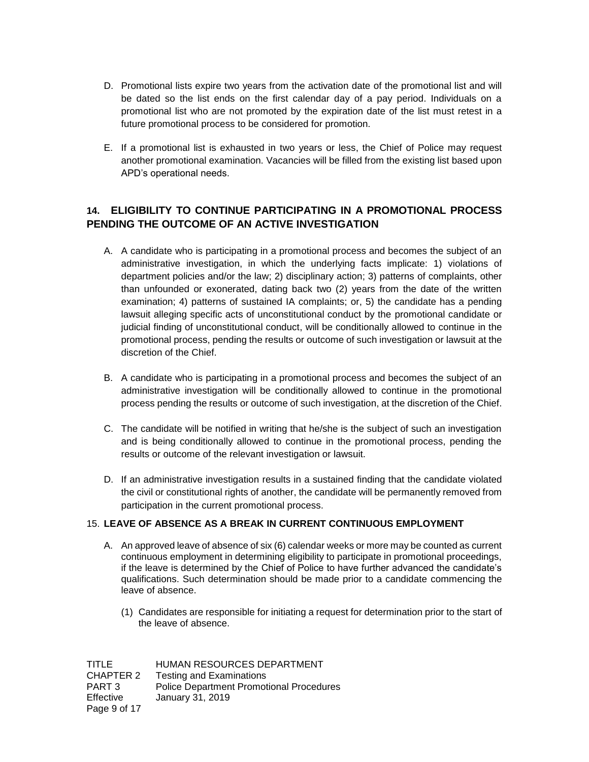- D. Promotional lists expire two years from the activation date of the promotional list and will be dated so the list ends on the first calendar day of a pay period. Individuals on a promotional list who are not promoted by the expiration date of the list must retest in a future promotional process to be considered for promotion.
- E. If a promotional list is exhausted in two years or less, the Chief of Police may request another promotional examination. Vacancies will be filled from the existing list based upon APD's operational needs.

# **14. ELIGIBILITY TO CONTINUE PARTICIPATING IN A PROMOTIONAL PROCESS PENDING THE OUTCOME OF AN ACTIVE INVESTIGATION**

- A. A candidate who is participating in a promotional process and becomes the subject of an administrative investigation, in which the underlying facts implicate: 1) violations of department policies and/or the law; 2) disciplinary action; 3) patterns of complaints, other than unfounded or exonerated, dating back two (2) years from the date of the written examination; 4) patterns of sustained IA complaints; or, 5) the candidate has a pending lawsuit alleging specific acts of unconstitutional conduct by the promotional candidate or judicial finding of unconstitutional conduct, will be conditionally allowed to continue in the promotional process, pending the results or outcome of such investigation or lawsuit at the discretion of the Chief.
- B. A candidate who is participating in a promotional process and becomes the subject of an administrative investigation will be conditionally allowed to continue in the promotional process pending the results or outcome of such investigation, at the discretion of the Chief.
- C. The candidate will be notified in writing that he/she is the subject of such an investigation and is being conditionally allowed to continue in the promotional process, pending the results or outcome of the relevant investigation or lawsuit.
- D. If an administrative investigation results in a sustained finding that the candidate violated the civil or constitutional rights of another, the candidate will be permanently removed from participation in the current promotional process.

# 15. **LEAVE OF ABSENCE AS A BREAK IN CURRENT CONTINUOUS EMPLOYMENT**

- A. An approved leave of absence of six (6) calendar weeks or more may be counted as current continuous employment in determining eligibility to participate in promotional proceedings, if the leave is determined by the Chief of Police to have further advanced the candidate's qualifications. Such determination should be made prior to a candidate commencing the leave of absence.
	- (1) Candidates are responsible for initiating a request for determination prior to the start of the leave of absence.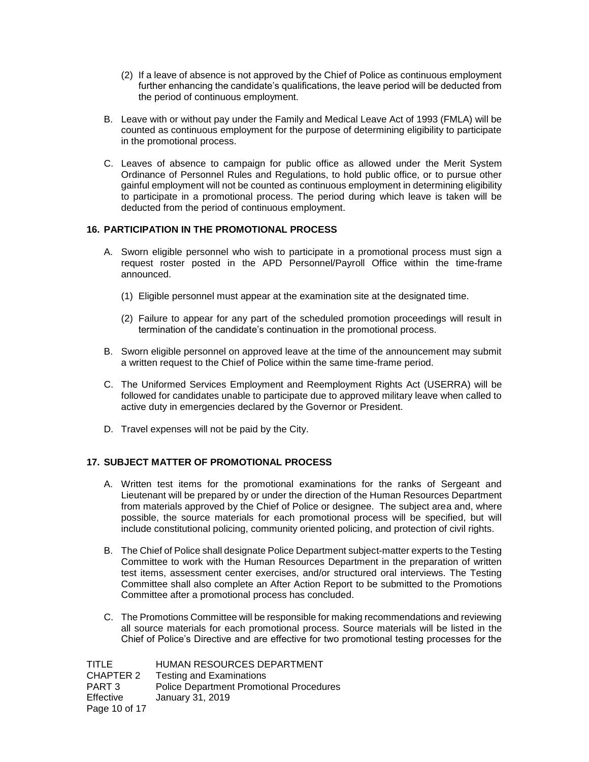- (2) If a leave of absence is not approved by the Chief of Police as continuous employment further enhancing the candidate's qualifications, the leave period will be deducted from the period of continuous employment.
- B. Leave with or without pay under the Family and Medical Leave Act of 1993 (FMLA) will be counted as continuous employment for the purpose of determining eligibility to participate in the promotional process.
- C. Leaves of absence to campaign for public office as allowed under the Merit System Ordinance of Personnel Rules and Regulations, to hold public office, or to pursue other gainful employment will not be counted as continuous employment in determining eligibility to participate in a promotional process. The period during which leave is taken will be deducted from the period of continuous employment.

# **16. PARTICIPATION IN THE PROMOTIONAL PROCESS**

- A. Sworn eligible personnel who wish to participate in a promotional process must sign a request roster posted in the APD Personnel/Payroll Office within the time-frame announced.
	- (1) Eligible personnel must appear at the examination site at the designated time.
	- (2) Failure to appear for any part of the scheduled promotion proceedings will result in termination of the candidate's continuation in the promotional process.
- B. Sworn eligible personnel on approved leave at the time of the announcement may submit a written request to the Chief of Police within the same time-frame period.
- C. The Uniformed Services Employment and Reemployment Rights Act (USERRA) will be followed for candidates unable to participate due to approved military leave when called to active duty in emergencies declared by the Governor or President.
- D. Travel expenses will not be paid by the City.

# **17. SUBJECT MATTER OF PROMOTIONAL PROCESS**

- A. Written test items for the promotional examinations for the ranks of Sergeant and Lieutenant will be prepared by or under the direction of the Human Resources Department from materials approved by the Chief of Police or designee. The subject area and, where possible, the source materials for each promotional process will be specified, but will include constitutional policing, community oriented policing, and protection of civil rights.
- B. The Chief of Police shall designate Police Department subject-matter experts to the Testing Committee to work with the Human Resources Department in the preparation of written test items, assessment center exercises, and/or structured oral interviews. The Testing Committee shall also complete an After Action Report to be submitted to the Promotions Committee after a promotional process has concluded.
- C. The Promotions Committee will be responsible for making recommendations and reviewing all source materials for each promotional process. Source materials will be listed in the Chief of Police's Directive and are effective for two promotional testing processes for the

| TITLE         | HUMAN RESOURCES DEPARTMENT                      |
|---------------|-------------------------------------------------|
| CHAPTER 2     | <b>Testing and Examinations</b>                 |
| PART 3        | <b>Police Department Promotional Procedures</b> |
| Effective     | January 31, 2019                                |
| Page 10 of 17 |                                                 |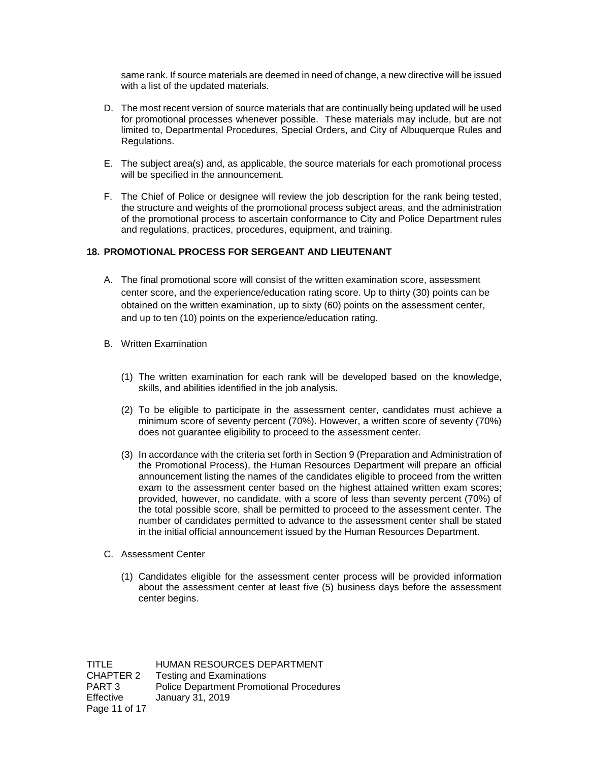same rank. If source materials are deemed in need of change, a new directive will be issued with a list of the updated materials.

- D. The most recent version of source materials that are continually being updated will be used for promotional processes whenever possible. These materials may include, but are not limited to, Departmental Procedures, Special Orders, and City of Albuquerque Rules and Regulations.
- E. The subject area(s) and, as applicable, the source materials for each promotional process will be specified in the announcement.
- F. The Chief of Police or designee will review the job description for the rank being tested, the structure and weights of the promotional process subject areas, and the administration of the promotional process to ascertain conformance to City and Police Department rules and regulations, practices, procedures, equipment, and training.

### **18. PROMOTIONAL PROCESS FOR SERGEANT AND LIEUTENANT**

- A. The final promotional score will consist of the written examination score, assessment center score, and the experience/education rating score. Up to thirty (30) points can be obtained on the written examination, up to sixty (60) points on the assessment center, and up to ten (10) points on the experience/education rating.
- B. Written Examination
	- (1) The written examination for each rank will be developed based on the knowledge, skills, and abilities identified in the job analysis.
	- (2) To be eligible to participate in the assessment center, candidates must achieve a minimum score of seventy percent (70%). However, a written score of seventy (70%) does not guarantee eligibility to proceed to the assessment center.
	- (3) In accordance with the criteria set forth in Section 9 (Preparation and Administration of the Promotional Process), the Human Resources Department will prepare an official announcement listing the names of the candidates eligible to proceed from the written exam to the assessment center based on the highest attained written exam scores; provided, however, no candidate, with a score of less than seventy percent (70%) of the total possible score, shall be permitted to proceed to the assessment center. The number of candidates permitted to advance to the assessment center shall be stated in the initial official announcement issued by the Human Resources Department.
- C. Assessment Center
	- (1) Candidates eligible for the assessment center process will be provided information about the assessment center at least five (5) business days before the assessment center begins.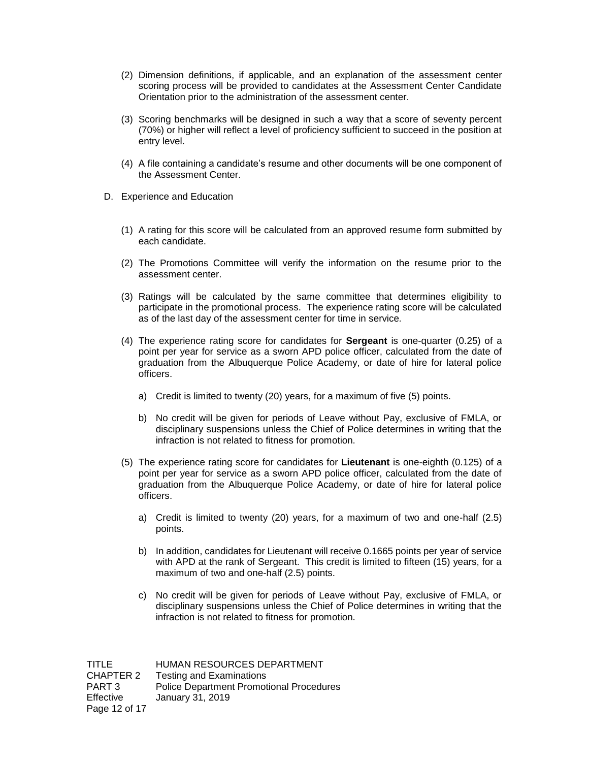- (2) Dimension definitions, if applicable, and an explanation of the assessment center scoring process will be provided to candidates at the Assessment Center Candidate Orientation prior to the administration of the assessment center.
- (3) Scoring benchmarks will be designed in such a way that a score of seventy percent (70%) or higher will reflect a level of proficiency sufficient to succeed in the position at entry level.
- (4) A file containing a candidate's resume and other documents will be one component of the Assessment Center.
- D. Experience and Education
	- (1) A rating for this score will be calculated from an approved resume form submitted by each candidate.
	- (2) The Promotions Committee will verify the information on the resume prior to the assessment center.
	- (3) Ratings will be calculated by the same committee that determines eligibility to participate in the promotional process. The experience rating score will be calculated as of the last day of the assessment center for time in service*.*
	- (4) The experience rating score for candidates for **Sergeant** is one-quarter (0.25) of a point per year for service as a sworn APD police officer, calculated from the date of graduation from the Albuquerque Police Academy, or date of hire for lateral police officers.
		- a) Credit is limited to twenty (20) years, for a maximum of five (5) points.
		- b) No credit will be given for periods of Leave without Pay, exclusive of FMLA, or disciplinary suspensions unless the Chief of Police determines in writing that the infraction is not related to fitness for promotion.
	- (5) The experience rating score for candidates for **Lieutenant** is one-eighth (0.125) of a point per year for service as a sworn APD police officer, calculated from the date of graduation from the Albuquerque Police Academy, or date of hire for lateral police officers.
		- a) Credit is limited to twenty (20) years, for a maximum of two and one-half (2.5) points.
		- b) In addition, candidates for Lieutenant will receive 0.1665 points per year of service with APD at the rank of Sergeant. This credit is limited to fifteen (15) years, for a maximum of two and one-half (2.5) points.
		- c) No credit will be given for periods of Leave without Pay, exclusive of FMLA, or disciplinary suspensions unless the Chief of Police determines in writing that the infraction is not related to fitness for promotion.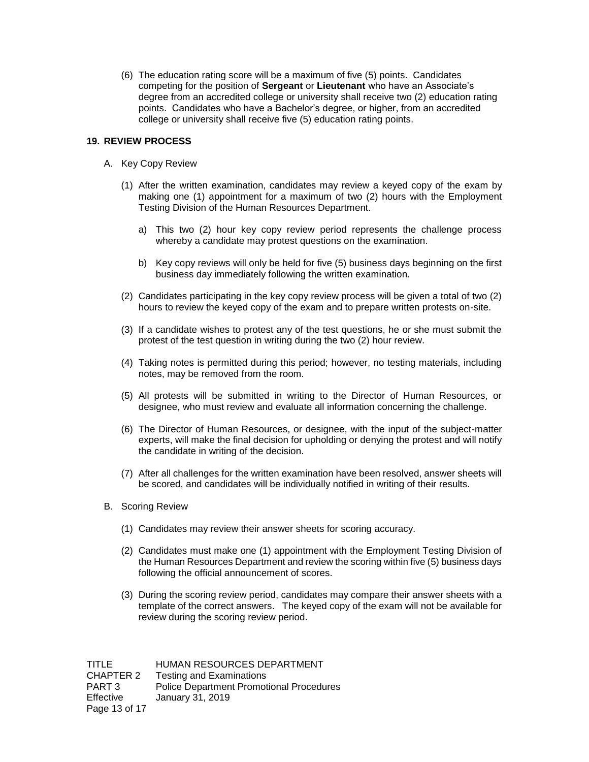(6) The education rating score will be a maximum of five (5) points. Candidates competing for the position of **Sergeant** or **Lieutenant** who have an Associate's degree from an accredited college or university shall receive two (2) education rating points. Candidates who have a Bachelor's degree, or higher, from an accredited college or university shall receive five (5) education rating points.

### **19. REVIEW PROCESS**

- A. Key Copy Review
	- (1) After the written examination, candidates may review a keyed copy of the exam by making one (1) appointment for a maximum of two (2) hours with the Employment Testing Division of the Human Resources Department.
		- a) This two (2) hour key copy review period represents the challenge process whereby a candidate may protest questions on the examination.
		- b) Key copy reviews will only be held for five (5) business days beginning on the first business day immediately following the written examination.
	- (2) Candidates participating in the key copy review process will be given a total of two (2) hours to review the keyed copy of the exam and to prepare written protests on-site.
	- (3) If a candidate wishes to protest any of the test questions, he or she must submit the protest of the test question in writing during the two (2) hour review.
	- (4) Taking notes is permitted during this period; however, no testing materials, including notes, may be removed from the room.
	- (5) All protests will be submitted in writing to the Director of Human Resources, or designee, who must review and evaluate all information concerning the challenge.
	- (6) The Director of Human Resources, or designee, with the input of the subject-matter experts, will make the final decision for upholding or denying the protest and will notify the candidate in writing of the decision.
	- (7) After all challenges for the written examination have been resolved, answer sheets will be scored, and candidates will be individually notified in writing of their results.
- B. Scoring Review
	- (1) Candidates may review their answer sheets for scoring accuracy.
	- (2) Candidates must make one (1) appointment with the Employment Testing Division of the Human Resources Department and review the scoring within five (5) business days following the official announcement of scores.
	- (3) During the scoring review period, candidates may compare their answer sheets with a template of the correct answers. The keyed copy of the exam will not be available for review during the scoring review period.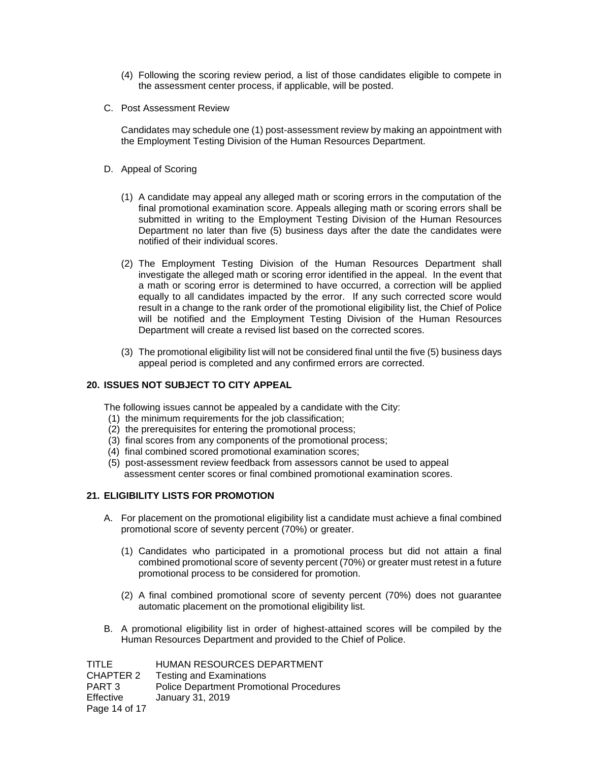- (4) Following the scoring review period, a list of those candidates eligible to compete in the assessment center process, if applicable, will be posted.
- C. Post Assessment Review

Candidates may schedule one (1) post-assessment review by making an appointment with the Employment Testing Division of the Human Resources Department.

- D. Appeal of Scoring
	- (1) A candidate may appeal any alleged math or scoring errors in the computation of the final promotional examination score. Appeals alleging math or scoring errors shall be submitted in writing to the Employment Testing Division of the Human Resources Department no later than five (5) business days after the date the candidates were notified of their individual scores.
	- (2) The Employment Testing Division of the Human Resources Department shall investigate the alleged math or scoring error identified in the appeal. In the event that a math or scoring error is determined to have occurred, a correction will be applied equally to all candidates impacted by the error. If any such corrected score would result in a change to the rank order of the promotional eligibility list, the Chief of Police will be notified and the Employment Testing Division of the Human Resources Department will create a revised list based on the corrected scores.
	- (3) The promotional eligibility list will not be considered final until the five (5) business days appeal period is completed and any confirmed errors are corrected.

### **20. ISSUES NOT SUBJECT TO CITY APPEAL**

The following issues cannot be appealed by a candidate with the City:

- (1) the minimum requirements for the job classification;
- (2) the prerequisites for entering the promotional process;
- (3) final scores from any components of the promotional process;
- (4) final combined scored promotional examination scores;
- (5) post-assessment review feedback from assessors cannot be used to appeal assessment center scores or final combined promotional examination scores.

### **21. ELIGIBILITY LISTS FOR PROMOTION**

- A. For placement on the promotional eligibility list a candidate must achieve a final combined promotional score of seventy percent (70%) or greater.
	- (1) Candidates who participated in a promotional process but did not attain a final combined promotional score of seventy percent (70%) or greater must retest in a future promotional process to be considered for promotion.
	- (2) A final combined promotional score of seventy percent (70%) does not guarantee automatic placement on the promotional eligibility list.
- B. A promotional eligibility list in order of highest-attained scores will be compiled by the Human Resources Department and provided to the Chief of Police.

| TITLE         | HUMAN RESOURCES DEPARTMENT                      |
|---------------|-------------------------------------------------|
| CHAPTER 2     | <b>Testing and Examinations</b>                 |
| PART 3        | <b>Police Department Promotional Procedures</b> |
| Effective     | January 31, 2019                                |
| Page 14 of 17 |                                                 |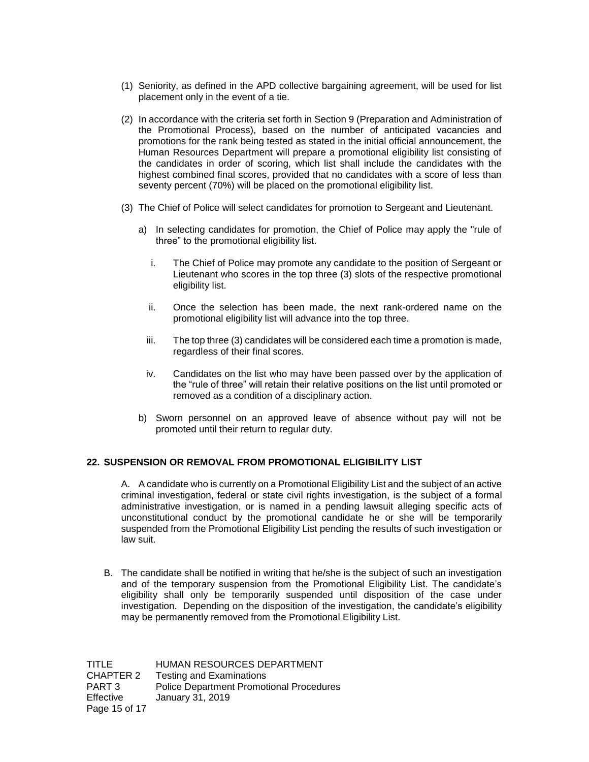- (1) Seniority, as defined in the APD collective bargaining agreement, will be used for list placement only in the event of a tie.
- (2) In accordance with the criteria set forth in Section 9 (Preparation and Administration of the Promotional Process), based on the number of anticipated vacancies and promotions for the rank being tested as stated in the initial official announcement, the Human Resources Department will prepare a promotional eligibility list consisting of the candidates in order of scoring, which list shall include the candidates with the highest combined final scores, provided that no candidates with a score of less than seventy percent (70%) will be placed on the promotional eligibility list.
- (3) The Chief of Police will select candidates for promotion to Sergeant and Lieutenant.
	- a) In selecting candidates for promotion, the Chief of Police may apply the "rule of three" to the promotional eligibility list.
		- i. The Chief of Police may promote any candidate to the position of Sergeant or Lieutenant who scores in the top three (3) slots of the respective promotional eligibility list.
		- ii. Once the selection has been made, the next rank-ordered name on the promotional eligibility list will advance into the top three.
		- iii. The top three (3) candidates will be considered each time a promotion is made, regardless of their final scores.
		- iv. Candidates on the list who may have been passed over by the application of the "rule of three" will retain their relative positions on the list until promoted or removed as a condition of a disciplinary action.
	- b) Sworn personnel on an approved leave of absence without pay will not be promoted until their return to regular duty.

### **22. SUSPENSION OR REMOVAL FROM PROMOTIONAL ELIGIBILITY LIST**

A. A candidate who is currently on a Promotional Eligibility List and the subject of an active criminal investigation, federal or state civil rights investigation, is the subject of a formal administrative investigation, or is named in a pending lawsuit alleging specific acts of unconstitutional conduct by the promotional candidate he or she will be temporarily suspended from the Promotional Eligibility List pending the results of such investigation or law suit.

B. The candidate shall be notified in writing that he/she is the subject of such an investigation and of the temporary suspension from the Promotional Eligibility List. The candidate's eligibility shall only be temporarily suspended until disposition of the case under investigation. Depending on the disposition of the investigation, the candidate's eligibility may be permanently removed from the Promotional Eligibility List.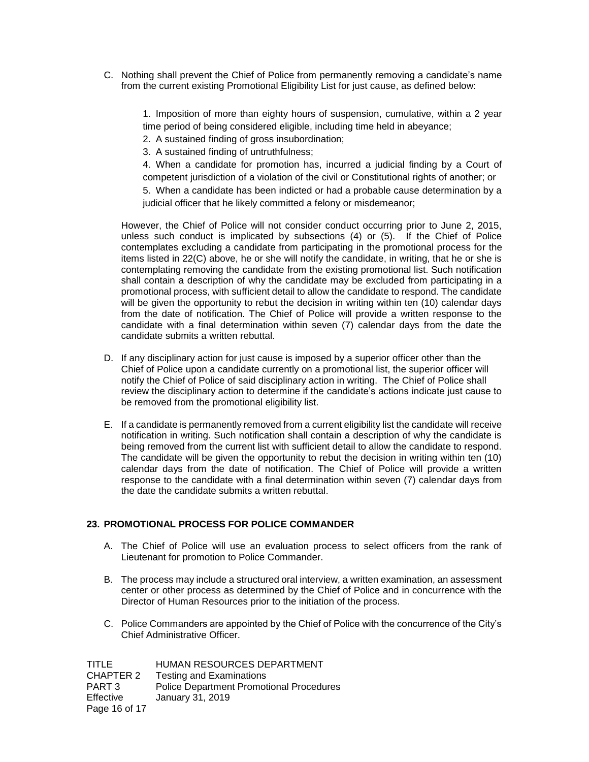C. Nothing shall prevent the Chief of Police from permanently removing a candidate's name from the current existing Promotional Eligibility List for just cause, as defined below:

> 1. Imposition of more than eighty hours of suspension, cumulative, within a 2 year time period of being considered eligible, including time held in abeyance;

- 2. A sustained finding of gross insubordination;
- 3. A sustained finding of untruthfulness;

4. When a candidate for promotion has, incurred a judicial finding by a Court of competent jurisdiction of a violation of the civil or Constitutional rights of another; or 5. When a candidate has been indicted or had a probable cause determination by a judicial officer that he likely committed a felony or misdemeanor;

However, the Chief of Police will not consider conduct occurring prior to June 2, 2015, unless such conduct is implicated by subsections (4) or (5). If the Chief of Police contemplates excluding a candidate from participating in the promotional process for the items listed in 22(C) above, he or she will notify the candidate, in writing, that he or she is contemplating removing the candidate from the existing promotional list. Such notification shall contain a description of why the candidate may be excluded from participating in a promotional process, with sufficient detail to allow the candidate to respond. The candidate will be given the opportunity to rebut the decision in writing within ten (10) calendar days from the date of notification. The Chief of Police will provide a written response to the candidate with a final determination within seven (7) calendar days from the date the candidate submits a written rebuttal.

- D. If any disciplinary action for just cause is imposed by a superior officer other than the Chief of Police upon a candidate currently on a promotional list, the superior officer will notify the Chief of Police of said disciplinary action in writing. The Chief of Police shall review the disciplinary action to determine if the candidate's actions indicate just cause to be removed from the promotional eligibility list.
- E. If a candidate is permanently removed from a current eligibility list the candidate will receive notification in writing. Such notification shall contain a description of why the candidate is being removed from the current list with sufficient detail to allow the candidate to respond. The candidate will be given the opportunity to rebut the decision in writing within ten (10) calendar days from the date of notification. The Chief of Police will provide a written response to the candidate with a final determination within seven (7) calendar days from the date the candidate submits a written rebuttal.

# **23. PROMOTIONAL PROCESS FOR POLICE COMMANDER**

- A. The Chief of Police will use an evaluation process to select officers from the rank of Lieutenant for promotion to Police Commander.
- B. The process may include a structured oral interview, a written examination, an assessment center or other process as determined by the Chief of Police and in concurrence with the Director of Human Resources prior to the initiation of the process.
- C. Police Commanders are appointed by the Chief of Police with the concurrence of the City's Chief Administrative Officer.

| TITLE         | HUMAN RESOURCES DEPARTMENT                      |
|---------------|-------------------------------------------------|
| CHAPTER 2     | <b>Testing and Examinations</b>                 |
| PART 3        | <b>Police Department Promotional Procedures</b> |
| Effective     | January 31, 2019                                |
| Page 16 of 17 |                                                 |